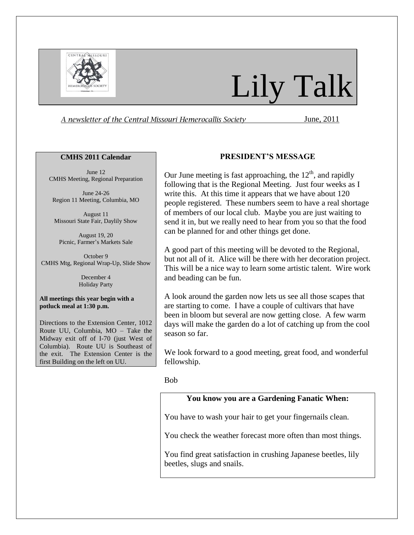

# Lily Talk

A newsletter of the Central Missouri Hemerocallis Society **Fig. 2011** June, 2011

#### **CMHS 2011 Calendar**

June 12 CMHS Meeting, Regional Preparation

June 24-26 Region 11 Meeting, Columbia, MO

August 11 Missouri State Fair, Daylily Show

August 19, 20 Picnic, Farmer's Markets Sale

October 9 CMHS Mtg, Regional Wrap-Up, Slide Show

> December 4 Holiday Party

**All meetings this year begin with a potluck meal at 1:30 p.m.** 

Directions to the Extension Center, 1012 Route UU, Columbia, MO – Take the Midway exit off of I-70 (just West of Columbia). Route UU is Southeast of the exit. The Extension Center is the first Building on the left on UU.

## **PRESIDENT'S MESSAGE**

Our June meeting is fast approaching, the  $12<sup>th</sup>$ , and rapidly following that is the Regional Meeting. Just four weeks as I write this. At this time it appears that we have about 120 people registered. These numbers seem to have a real shortage of members of our local club. Maybe you are just waiting to send it in, but we really need to hear from you so that the food can be planned for and other things get done.

A good part of this meeting will be devoted to the Regional, but not all of it. Alice will be there with her decoration project. This will be a nice way to learn some artistic talent. Wire work and beading can be fun.

A look around the garden now lets us see all those scapes that are starting to come. I have a couple of cultivars that have been in bloom but several are now getting close. A few warm days will make the garden do a lot of catching up from the cool season so far.

We look forward to a good meeting, great food, and wonderful fellowship.

#### Bob

# **You know you are a Gardening Fanatic When:**

You have to wash your hair to get your fingernails clean.

You check the weather forecast more often than most things.

You find great satisfaction in crushing Japanese beetles, lily beetles, slugs and snails.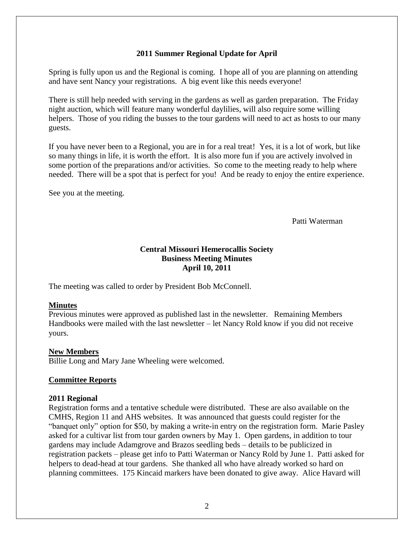# **2011 Summer Regional Update for April**

Spring is fully upon us and the Regional is coming. I hope all of you are planning on attending and have sent Nancy your registrations. A big event like this needs everyone!

There is still help needed with serving in the gardens as well as garden preparation. The Friday night auction, which will feature many wonderful daylilies, will also require some willing helpers. Those of you riding the busses to the tour gardens will need to act as hosts to our many guests.

If you have never been to a Regional, you are in for a real treat! Yes, it is a lot of work, but like so many things in life, it is worth the effort. It is also more fun if you are actively involved in some portion of the preparations and/or activities. So come to the meeting ready to help where needed. There will be a spot that is perfect for you! And be ready to enjoy the entire experience.

See you at the meeting.

Patti Waterman

# **Central Missouri Hemerocallis Society Business Meeting Minutes April 10, 2011**

The meeting was called to order by President Bob McConnell.

## **Minutes**

Previous minutes were approved as published last in the newsletter. Remaining Members Handbooks were mailed with the last newsletter – let Nancy Rold know if you did not receive yours.

## **New Members**

Billie Long and Mary Jane Wheeling were welcomed.

### **Committee Reports**

### **2011 Regional**

Registration forms and a tentative schedule were distributed. These are also available on the CMHS, Region 11 and AHS websites. It was announced that guests could register for the "banquet only" option for \$50, by making a write-in entry on the registration form. Marie Pasley asked for a cultivar list from tour garden owners by May 1. Open gardens, in addition to tour gardens may include Adamgrove and Brazos seedling beds – details to be publicized in registration packets – please get info to Patti Waterman or Nancy Rold by June 1. Patti asked for helpers to dead-head at tour gardens. She thanked all who have already worked so hard on planning committees. 175 Kincaid markers have been donated to give away. Alice Havard will